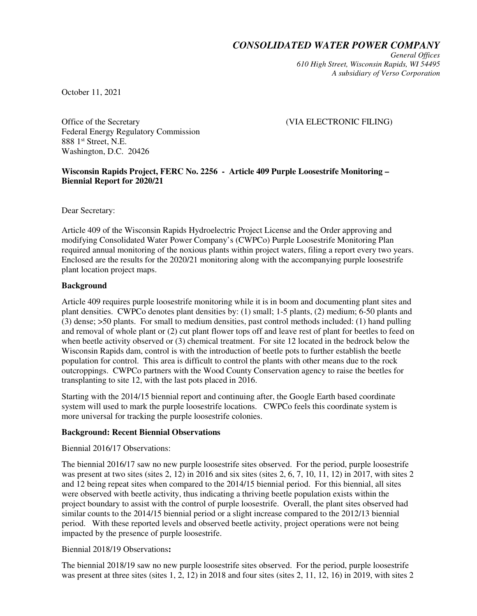*CONSOLIDATED WATER POWER COMPANY*

*General Offices 610 High Street, Wisconsin Rapids, WI 54495 A subsidiary of Verso Corporation* 

October 11, 2021

Office of the Secretary **EXECTRONIC FILING** Federal Energy Regulatory Commission 888 1<sup>st</sup> Street, N.E. Washington, D.C. 20426

### **Wisconsin Rapids Project, FERC No. 2256 - Article 409 Purple Loosestrife Monitoring – Biennial Report for 2020/21**

Dear Secretary:

Article 409 of the Wisconsin Rapids Hydroelectric Project License and the Order approving and modifying Consolidated Water Power Company's (CWPCo) Purple Loosestrife Monitoring Plan required annual monitoring of the noxious plants within project waters, filing a report every two years. Enclosed are the results for the 2020/21 monitoring along with the accompanying purple loosestrife plant location project maps.

## **Background**

Article 409 requires purple loosestrife monitoring while it is in boom and documenting plant sites and plant densities. CWPCo denotes plant densities by: (1) small; 1-5 plants, (2) medium; 6-50 plants and (3) dense; >50 plants. For small to medium densities, past control methods included: (1) hand pulling and removal of whole plant or (2) cut plant flower tops off and leave rest of plant for beetles to feed on when beetle activity observed or (3) chemical treatment. For site 12 located in the bedrock below the Wisconsin Rapids dam, control is with the introduction of beetle pots to further establish the beetle population for control. This area is difficult to control the plants with other means due to the rock outcroppings. CWPCo partners with the Wood County Conservation agency to raise the beetles for transplanting to site 12, with the last pots placed in 2016.

Starting with the 2014/15 biennial report and continuing after, the Google Earth based coordinate system will used to mark the purple loosestrife locations. CWPCo feels this coordinate system is more universal for tracking the purple loosestrife colonies.

# **Background: Recent Biennial Observations**

Biennial 2016/17 Observations:

The biennial 2016/17 saw no new purple loosestrife sites observed. For the period, purple loosestrife was present at two sites (sites 2, 12) in 2016 and six sites (sites 2, 6, 7, 10, 11, 12) in 2017, with sites 2 and 12 being repeat sites when compared to the 2014/15 biennial period. For this biennial, all sites were observed with beetle activity, thus indicating a thriving beetle population exists within the project boundary to assist with the control of purple loosestrife. Overall, the plant sites observed had similar counts to the 2014/15 biennial period or a slight increase compared to the 2012/13 biennial period. With these reported levels and observed beetle activity, project operations were not being impacted by the presence of purple loosestrife.

# Biennial 2018/19 Observations**:**

The biennial 2018/19 saw no new purple loosestrife sites observed. For the period, purple loosestrife was present at three sites (sites 1, 2, 12) in 2018 and four sites (sites 2, 11, 12, 16) in 2019, with sites 2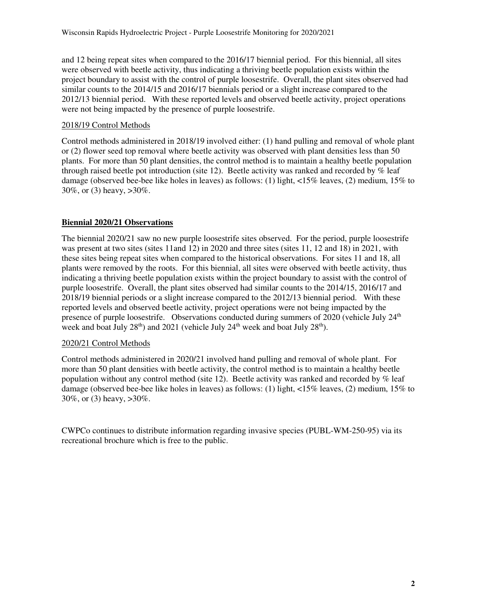and 12 being repeat sites when compared to the 2016/17 biennial period. For this biennial, all sites were observed with beetle activity, thus indicating a thriving beetle population exists within the project boundary to assist with the control of purple loosestrife. Overall, the plant sites observed had similar counts to the 2014/15 and 2016/17 biennials period or a slight increase compared to the 2012/13 biennial period. With these reported levels and observed beetle activity, project operations were not being impacted by the presence of purple loosestrife.

# 2018/19 Control Methods

Control methods administered in 2018/19 involved either: (1) hand pulling and removal of whole plant or (2) flower seed top removal where beetle activity was observed with plant densities less than 50 plants. For more than 50 plant densities, the control method is to maintain a healthy beetle population through raised beetle pot introduction (site 12). Beetle activity was ranked and recorded by % leaf damage (observed bee-bee like holes in leaves) as follows: (1) light, <15% leaves, (2) medium, 15% to 30%, or (3) heavy, >30%.

# **Biennial 2020/21 Observations**

The biennial 2020/21 saw no new purple loosestrife sites observed. For the period, purple loosestrife was present at two sites (sites 11and 12) in 2020 and three sites (sites 11, 12 and 18) in 2021, with these sites being repeat sites when compared to the historical observations. For sites 11 and 18, all plants were removed by the roots. For this biennial, all sites were observed with beetle activity, thus indicating a thriving beetle population exists within the project boundary to assist with the control of purple loosestrife. Overall, the plant sites observed had similar counts to the 2014/15, 2016/17 and 2018/19 biennial periods or a slight increase compared to the 2012/13 biennial period. With these reported levels and observed beetle activity, project operations were not being impacted by the presence of purple loosestrife. Observations conducted during summers of 2020 (vehicle July 24<sup>th</sup> week and boat July  $28^{th}$ ) and  $2021$  (vehicle July  $24^{th}$  week and boat July  $28^{th}$ ).

# 2020/21 Control Methods

Control methods administered in 2020/21 involved hand pulling and removal of whole plant. For more than 50 plant densities with beetle activity, the control method is to maintain a healthy beetle population without any control method (site 12). Beetle activity was ranked and recorded by % leaf damage (observed bee-bee like holes in leaves) as follows: (1) light, <15% leaves, (2) medium, 15% to 30%, or (3) heavy, >30%.

CWPCo continues to distribute information regarding invasive species (PUBL-WM-250-95) via its recreational brochure which is free to the public.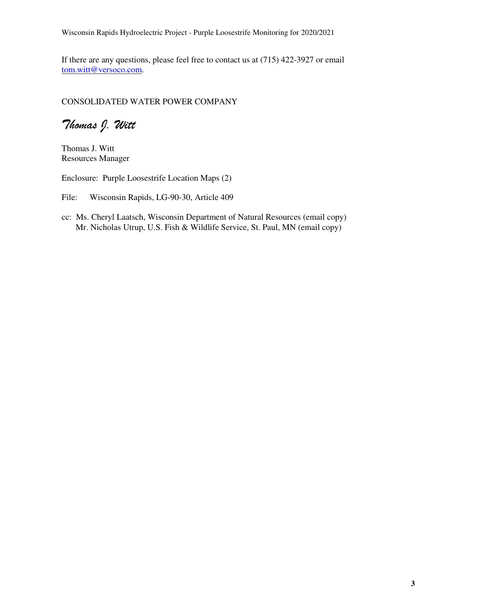Wisconsin Rapids Hydroelectric Project - Purple Loosestrife Monitoring for 2020/2021

If there are any questions, please feel free to contact us at (715) 422-3927 or email tom.witt@versoco.com.

# CONSOLIDATED WATER POWER COMPANY

Thomas J. Witt

Thomas J. Witt Resources Manager

Enclosure: Purple Loosestrife Location Maps (2)

File: Wisconsin Rapids, LG-90-30, Article 409

cc: Ms. Cheryl Laatsch, Wisconsin Department of Natural Resources (email copy) Mr. Nicholas Utrup, U.S. Fish & Wildlife Service, St. Paul, MN (email copy)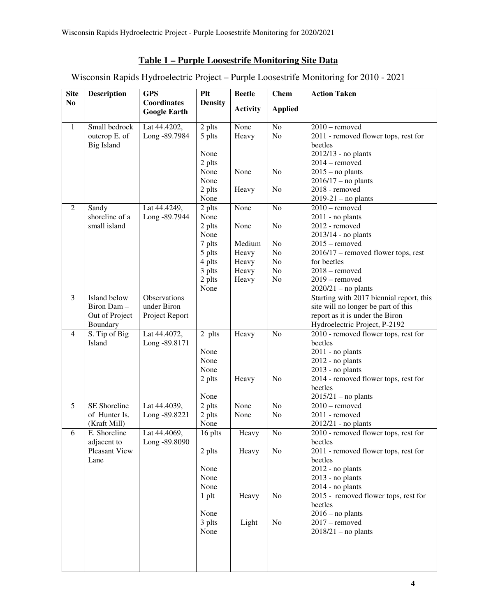# **Table 1 – Purple Loosestrife Monitoring Site Data**

Wisconsin Rapids Hydroelectric Project – Purple Loosestrife Monitoring for 2010 - 2021

| <b>Site</b>    | <b>Description</b>        | <b>GPS</b>          | Plt            | <b>Beetle</b>   | <b>Chem</b>    | <b>Action Taken</b>                                                   |
|----------------|---------------------------|---------------------|----------------|-----------------|----------------|-----------------------------------------------------------------------|
| N <sub>0</sub> |                           | Coordinates         | <b>Density</b> | <b>Activity</b> | <b>Applied</b> |                                                                       |
|                |                           | <b>Google Earth</b> |                |                 |                |                                                                       |
| $\mathbf{1}$   | Small bedrock             | Lat 44.4202,        | 2 plts         | None            | N <sub>o</sub> | $2010$ – removed                                                      |
|                | outcrop E. of             | Long -89.7984       | 5 plts         | Heavy           | No             | 2011 - removed flower tops, rest for                                  |
|                | <b>Big Island</b>         |                     |                |                 |                | beetles                                                               |
|                |                           |                     | None           |                 |                | 2012/13 - no plants                                                   |
|                |                           |                     | 2 plts         |                 |                | $2014$ – removed                                                      |
|                |                           |                     | None           | None            | No             | $2015$ – no plants                                                    |
|                |                           |                     | None           |                 |                | $2016/17$ – no plants                                                 |
|                |                           |                     | 2 plts         | Heavy           | No             | 2018 - removed                                                        |
|                |                           |                     | None           |                 |                | $2019-21$ – no plants                                                 |
| $\overline{2}$ | Sandy                     | Lat 44.4249,        | 2 plts         | None            | No             | $2010$ – removed                                                      |
|                | shoreline of a            | Long -89.7944       | None           |                 |                | $2011$ - no plants                                                    |
|                | small island              |                     | 2 plts         | None            | No             | 2012 - removed                                                        |
|                |                           |                     | None           |                 |                | 2013/14 - no plants                                                   |
|                |                           |                     | 7 plts         | Medium          | N <sub>o</sub> | $2015$ – removed                                                      |
|                |                           |                     | 5 plts         | Heavy           | No             | $2016/17$ – removed flower tops, rest                                 |
|                |                           |                     | 4 plts         | Heavy           | No             | for beetles                                                           |
|                |                           |                     | 3 plts         | Heavy           | No             | $2018$ – removed                                                      |
|                |                           |                     | 2 plts         | Heavy           | N <sub>o</sub> | $2019$ – removed                                                      |
|                |                           |                     | None           |                 |                | $2020/21$ – no plants                                                 |
| 3              | Island below              | Observations        |                |                 |                | Starting with 2017 biennial report, this                              |
|                | Biron Dam-                | under Biron         |                |                 |                | site will no longer be part of this                                   |
|                | Out of Project            | Project Report      |                |                 |                | report as it is under the Biron                                       |
| $\overline{4}$ | Boundary<br>S. Tip of Big | Lat 44.4072,        | 2 plts         | Heavy           | No             | Hydroelectric Project, P-2192<br>2010 - removed flower tops, rest for |
|                | Island                    | Long -89.8171       |                |                 |                | beetles                                                               |
|                |                           |                     | None           |                 |                | 2011 - no plants                                                      |
|                |                           |                     | None           |                 |                | 2012 - no plants                                                      |
|                |                           |                     | None           |                 |                | 2013 - no plants                                                      |
|                |                           |                     | 2 plts         | Heavy           | No             | 2014 - removed flower tops, rest for                                  |
|                |                           |                     |                |                 |                | beetles                                                               |
|                |                           |                     | None           |                 |                | $2015/21$ – no plants                                                 |
| 5              | SE Shoreline              | Lat 44.4039,        | 2 plts         | None            | No             | $2010$ – removed                                                      |
|                | of Hunter Is.             | Long -89.8221       | 2 plts         | None            | N <sub>o</sub> | 2011 - removed                                                        |
|                | (Kraft Mill)              |                     | None           |                 |                | $2012/21$ - no plants                                                 |
| 6              | E. Shoreline              | Lat 44.4069,        | 16 plts        | Heavy           | N <sub>o</sub> | 2010 - removed flower tops, rest for                                  |
|                | adjacent to               | Long -89.8090       |                |                 |                | beetles                                                               |
|                | <b>Pleasant View</b>      |                     | 2 plts         | Heavy           | No             | 2011 - removed flower tops, rest for                                  |
|                | Lane                      |                     |                |                 |                | beetles                                                               |
|                |                           |                     | None           |                 |                | 2012 - no plants                                                      |
|                |                           |                     | None           |                 |                | $2013$ - no plants                                                    |
|                |                           |                     | None           |                 |                | $2014$ - no plants                                                    |
|                |                           |                     | $1$ plt        | Heavy           | No             | 2015 - removed flower tops, rest for                                  |
|                |                           |                     |                |                 |                | beetles                                                               |
|                |                           |                     | None           |                 |                | $2016$ – no plants                                                    |
|                |                           |                     | 3 plts         | Light           | No             | $2017$ – removed                                                      |
|                |                           |                     | None           |                 |                | $2018/21$ – no plants                                                 |
|                |                           |                     |                |                 |                |                                                                       |
|                |                           |                     |                |                 |                |                                                                       |
|                |                           |                     |                |                 |                |                                                                       |
|                |                           |                     |                |                 |                |                                                                       |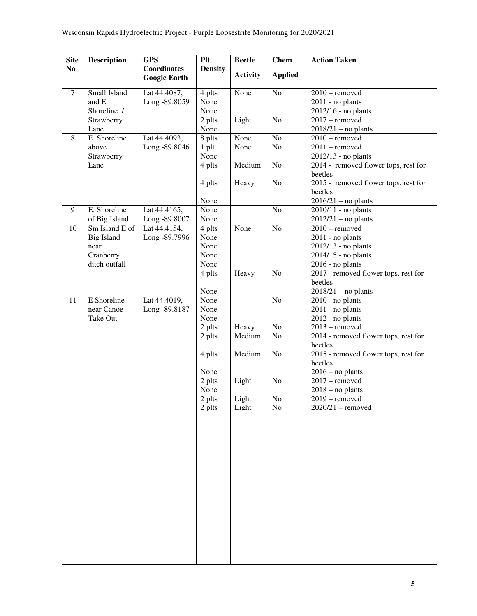| <b>Site</b>    | <b>Description</b>        | <b>GPS</b>                         | Plt            | <b>Beetle</b>   | <b>Chem</b>    | <b>Action Taken</b>                             |
|----------------|---------------------------|------------------------------------|----------------|-----------------|----------------|-------------------------------------------------|
| N <sub>0</sub> |                           | Coordinates<br><b>Google Earth</b> | <b>Density</b> | <b>Activity</b> | <b>Applied</b> |                                                 |
| $\tau$         | Small Island              | Lat 44.4087,                       | 4 plts         | None            | N <sub>o</sub> | $2010$ – removed                                |
|                | and E                     | Long -89.8059                      | None           |                 |                | $2011$ - no plants                              |
|                | Shoreline /<br>Strawberry |                                    | None<br>2 plts | Light           | No             | 2012/16 - no plants<br>$2017$ – removed         |
|                | Lane                      |                                    | None           |                 |                | $2018/21$ – no plants                           |
| 8              | E. Shoreline              | Lat 44.4093,                       | 8 plts         | None            | No             | $2010$ – removed                                |
|                | above                     | Long -89.8046                      | $1$ plt        | None            | No             | $2011$ – removed                                |
|                | Strawberry                |                                    | None           |                 |                | 2012/13 - no plants                             |
|                | Lane                      |                                    | 4 plts         | Medium          | N <sub>o</sub> | 2014 - removed flower tops, rest for<br>beetles |
|                |                           |                                    | 4 plts         | Heavy           | No             | 2015 - removed flower tops, rest for            |
|                |                           |                                    | None           |                 |                | beetles<br>$2016/21$ – no plants                |
| 9              | E. Shoreline              | Lat 44.4165,                       | None           |                 | N <sub>o</sub> | $2010/11$ - no plants                           |
|                | of Big Island             | Long -89.8007                      | None           |                 |                | $2012/21$ – no plants                           |
| 10             | Sm Island E of            | Lat 44.4154,                       | 4 plts         | None            | No             | $2010$ – removed                                |
|                | <b>Big Island</b>         | Long -89.7996                      | None           |                 |                | 2011 - no plants                                |
|                | near<br>Cranberry         |                                    | None<br>None   |                 |                | 2012/13 - no plants<br>2014/15 - no plants      |
|                | ditch outfall             |                                    | None           |                 |                | $2016$ - no plants                              |
|                |                           |                                    | 4 plts         | Heavy           | No             | 2017 - removed flower tops, rest for            |
|                |                           |                                    |                |                 |                | beetles                                         |
|                |                           |                                    | None           |                 |                | $2018/21$ - no plants                           |
| 11             | E Shoreline               | Lat 44.4019,                       | None           |                 | No             | $2010$ - no plants                              |
|                | near Canoe                | Long -89.8187                      | None           |                 |                | 2011 - no plants                                |
|                | Take Out                  |                                    | None           |                 |                | 2012 - no plants                                |
|                |                           |                                    | 2 plts         | Heavy           | No             | $2013$ – removed                                |
|                |                           |                                    | 2 plts         | Medium          | No             | 2014 - removed flower tops, rest for<br>beetles |
|                |                           |                                    | 4 plts         | Medium          | N <sub>o</sub> | 2015 - removed flower tops, rest for<br>beetles |
|                |                           |                                    | None           |                 |                | $2016$ – no plants                              |
|                |                           |                                    | 2 plts         | Light           | N <sub>o</sub> | $2017$ – removed                                |
|                |                           |                                    | None           |                 |                | $2018 - no$ plants                              |
|                |                           |                                    | 2 plts         | Light           | N <sub>o</sub> | $2019$ – removed                                |
|                |                           |                                    | 2 plts         | Light           | No             | $2020/21$ - removed                             |
|                |                           |                                    |                |                 |                |                                                 |
|                |                           |                                    |                |                 |                |                                                 |
|                |                           |                                    |                |                 |                |                                                 |
|                |                           |                                    |                |                 |                |                                                 |
|                |                           |                                    |                |                 |                |                                                 |
|                |                           |                                    |                |                 |                |                                                 |
|                |                           |                                    |                |                 |                |                                                 |
|                |                           |                                    |                |                 |                |                                                 |
|                |                           |                                    |                |                 |                |                                                 |
|                |                           |                                    |                |                 |                |                                                 |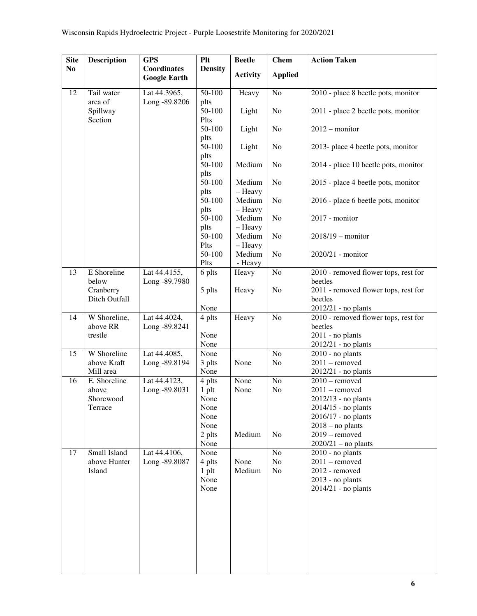| <b>Site</b>    | <b>Description</b>         | <b>GPS</b>                         | Plt                    | <b>Beetle</b>     | <b>Chem</b>     | <b>Action Taken</b>                             |
|----------------|----------------------------|------------------------------------|------------------------|-------------------|-----------------|-------------------------------------------------|
| N <sub>0</sub> |                            | Coordinates<br><b>Google Earth</b> | <b>Density</b>         | <b>Activity</b>   | <b>Applied</b>  |                                                 |
| 12             | Tail water                 | Lat 44.3965,                       | 50-100                 | Heavy             | N <sub>o</sub>  | 2010 - place 8 beetle pots, monitor             |
|                | area of                    | Long -89.8206                      | plts                   |                   |                 |                                                 |
|                | Spillway                   |                                    | 50-100                 | Light             | N <sub>o</sub>  | 2011 - place 2 beetle pots, monitor             |
|                | Section                    |                                    | Plts<br>50-100         | Light             | N <sub>o</sub>  | $2012$ – monitor                                |
|                |                            |                                    | plts<br>50-100         | Light             | No              | 2013- place 4 beetle pots, monitor              |
|                |                            |                                    | plts<br>50-100         | Medium            | No              | 2014 - place 10 beetle pots, monitor            |
|                |                            |                                    | plts<br>50-100<br>plts | Medium<br>- Heavy | No              | 2015 - place 4 beetle pots, monitor             |
|                |                            |                                    | 50-100<br>plts         | Medium<br>- Heavy | No              | 2016 - place 6 beetle pots, monitor             |
|                |                            |                                    | 50-100<br>plts         | Medium<br>- Heavy | No              | 2017 - monitor                                  |
|                |                            |                                    | 50-100<br>Plts         | Medium<br>- Heavy | No              | $2018/19$ - monitor                             |
|                |                            |                                    | 50-100<br>Plts         | Medium<br>- Heavy | No              | 2020/21 - monitor                               |
| 13             | E Shoreline<br>below       | Lat 44.4155,<br>Long -89.7980      | 6 plts                 | Heavy             | $\rm No$        | 2010 - removed flower tops, rest for<br>beetles |
|                | Cranberry<br>Ditch Outfall |                                    | 5 plts                 | Heavy             | N <sub>o</sub>  | 2011 - removed flower tops, rest for<br>beetles |
|                |                            |                                    | None                   |                   |                 | $2012/21$ - no plants                           |
| 14             | W Shoreline,               | Lat 44.4024,                       | 4 plts                 | Heavy             | $\overline{No}$ | 2010 - removed flower tops, rest for            |
|                | above RR                   | Long -89.8241                      |                        |                   |                 | beetles                                         |
|                | trestle                    |                                    | None<br>None           |                   |                 | $2011$ - no plants<br>2012/21 - no plants       |
| 15             | W Shoreline                | Lat 44.4085,                       | None                   |                   | No              | $2010$ - no plants                              |
|                | above Kraft                | Long -89.8194                      | 3 plts                 | None              | No              | $2011$ – removed                                |
|                | Mill area                  |                                    | None                   |                   |                 | 2012/21 - no plants                             |
| 16             | E. Shoreline               | Lat 44.4123,                       | 4 plts                 | None              | N <sub>o</sub>  | $2010$ – removed                                |
|                | above                      | Long -89.8031                      | 1 plt                  | None              | N <sub>o</sub>  | $2011$ – removed                                |
|                | Shorewood                  |                                    | None                   |                   |                 | $2012/13$ - no plants                           |
|                | Terrace                    |                                    | None                   |                   |                 | 2014/15 - no plants                             |
|                |                            |                                    | None                   |                   |                 | $2016/17$ - no plants                           |
|                |                            |                                    | None                   | Medium            | N <sub>o</sub>  | $2018 - no$ plants<br>$2019$ – removed          |
|                |                            |                                    | 2 plts<br>None         |                   |                 | $2020/21$ – no plants                           |
| 17             | Small Island               | Lat 44.4106,                       | None                   |                   | No              | $2010$ - no plants                              |
|                | above Hunter               | Long -89.8087                      | 4 plts                 | None              | No              | $2011$ – removed                                |
|                | Island                     |                                    | $1$ plt                | Medium            | No              | 2012 - removed                                  |
|                |                            |                                    | None                   |                   |                 | $2013$ - no plants                              |
|                |                            |                                    | None                   |                   |                 | 2014/21 - no plants                             |
|                |                            |                                    |                        |                   |                 |                                                 |
|                |                            |                                    |                        |                   |                 |                                                 |
|                |                            |                                    |                        |                   |                 |                                                 |
|                |                            |                                    |                        |                   |                 |                                                 |
|                |                            |                                    |                        |                   |                 |                                                 |
|                |                            |                                    |                        |                   |                 |                                                 |
|                |                            |                                    |                        |                   |                 |                                                 |
|                |                            |                                    |                        |                   |                 |                                                 |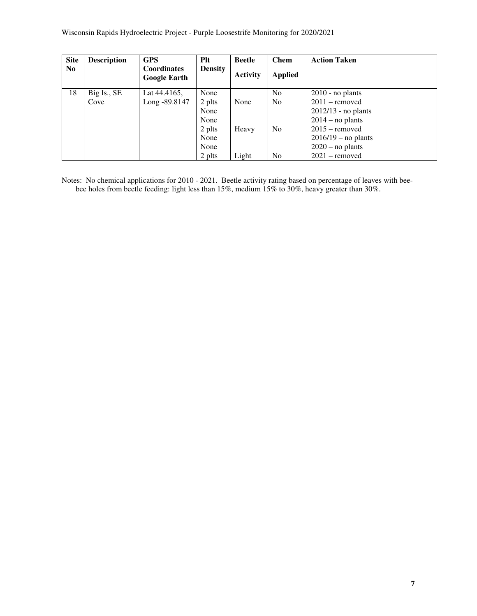| <b>Site</b>    | <b>Description</b> | <b>GPS</b>                                | <b>Plt</b>     | <b>Beetle</b>   | <b>Chem</b>    | <b>Action Taken</b>   |
|----------------|--------------------|-------------------------------------------|----------------|-----------------|----------------|-----------------------|
| N <sub>0</sub> |                    | <b>Coordinates</b><br><b>Google Earth</b> | <b>Density</b> | <b>Activity</b> | <b>Applied</b> |                       |
| 18             | Big Is., SE        | Lat 44.4165,                              | None           |                 | N <sub>0</sub> | $2010$ - no plants    |
|                | Cove               | Long -89.8147                             | 2 plts         | None            | N <sub>0</sub> | $2011$ – removed      |
|                |                    |                                           | None           |                 |                | $2012/13$ - no plants |
|                |                    |                                           | None           |                 |                | $2014$ – no plants    |
|                |                    |                                           | 2 plts         | Heavy           | N <sub>0</sub> | $2015$ – removed      |
|                |                    |                                           | None           |                 |                | $2016/19$ – no plants |
|                |                    |                                           | None           |                 |                | $2020$ – no plants    |
|                |                    |                                           | 2 plts         | Light           | No             | $2021$ – removed      |

Notes: No chemical applications for 2010 - 2021. Beetle activity rating based on percentage of leaves with beebee holes from beetle feeding: light less than 15%, medium 15% to 30%, heavy greater than 30%.